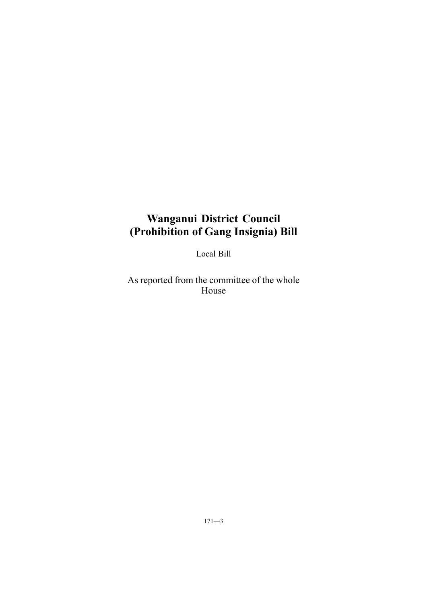## **Wanganui District Council (Prohibition of Gang Insignia) Bill**

Local Bill

As reported from the committee of the whole House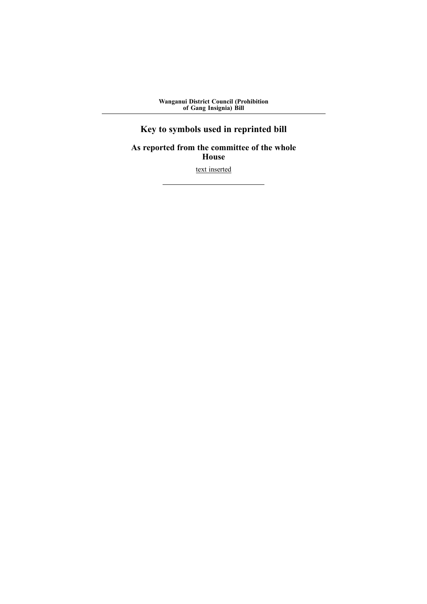**Wanganui District Council (Prohibition of Gang Insignia) Bill**

# **Key to symbols used in reprinted bill**

**As reported from the committee of the whole House**

text inserted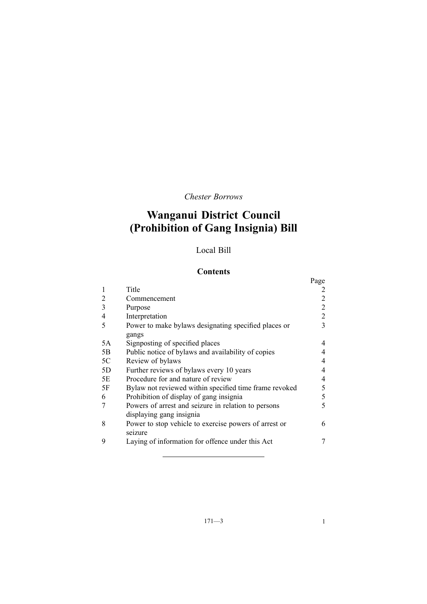*Chester Borrows*

# **Wanganui District Council (Prohibition of Gang Insignia) Bill**

## Local Bill

## **Contents**

|    |                                                                                 | Page           |  |  |
|----|---------------------------------------------------------------------------------|----------------|--|--|
|    | Title                                                                           |                |  |  |
| 2  | Commencement                                                                    | 2              |  |  |
| 3  | Purpose                                                                         | $\overline{2}$ |  |  |
| 4  | Interpretation                                                                  | $\overline{2}$ |  |  |
| 5  | Power to make bylaws designating specified places or<br>gangs                   | 3              |  |  |
| 5A | Signposting of specified places                                                 | 4              |  |  |
| 5B | Public notice of bylaws and availability of copies                              | 4              |  |  |
| 5C | Review of bylaws                                                                | 4              |  |  |
| 5D | Further reviews of bylaws every 10 years                                        | 4              |  |  |
| 5E | Procedure for and nature of review                                              | 4              |  |  |
| 5F | Bylaw not reviewed within specified time frame revoked                          | 5              |  |  |
| 6  | Prohibition of display of gang insignia                                         | 5              |  |  |
|    | Powers of arrest and seizure in relation to persons<br>displaying gang insignia | 5              |  |  |
| 8  | Power to stop vehicle to exercise powers of arrest or<br>seizure                | 6              |  |  |
| 9  | Laying of information for offence under this Act                                |                |  |  |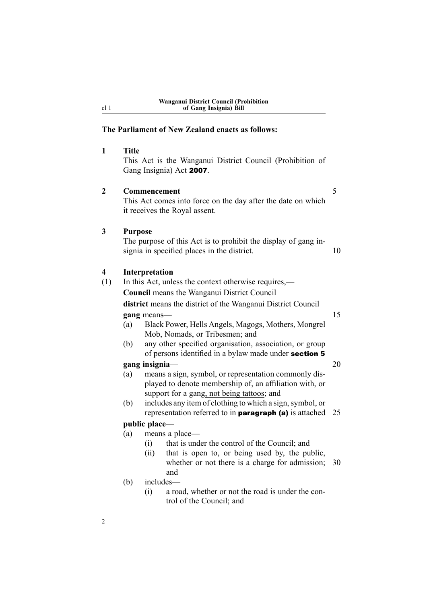## **The Parliament of New Zealand enacts as follows:**

| 1            | Title                                                                                                                                                                      | This Act is the Wanganui District Council (Prohibition of<br>Gang Insignia) Act 2007.                                       |    |  |  |
|--------------|----------------------------------------------------------------------------------------------------------------------------------------------------------------------------|-----------------------------------------------------------------------------------------------------------------------------|----|--|--|
| $\mathbf{2}$ |                                                                                                                                                                            | 5<br>Commencement<br>This Act comes into force on the day after the date on which<br>it receives the Royal assent.          |    |  |  |
| 3            | <b>Purpose</b><br>The purpose of this Act is to prohibit the display of gang in-<br>signia in specified places in the district.<br>10                                      |                                                                                                                             |    |  |  |
| 4            |                                                                                                                                                                            | Interpretation                                                                                                              |    |  |  |
| (1)          | In this Act, unless the context otherwise requires,—<br><b>Council</b> means the Wanganui District Council<br>district means the district of the Wanganui District Council |                                                                                                                             |    |  |  |
|              |                                                                                                                                                                            |                                                                                                                             |    |  |  |
|              |                                                                                                                                                                            |                                                                                                                             |    |  |  |
|              | gang means-                                                                                                                                                                |                                                                                                                             |    |  |  |
|              | (a)                                                                                                                                                                        | Black Power, Hells Angels, Magogs, Mothers, Mongrel<br>Mob, Nomads, or Tribesmen; and                                       |    |  |  |
|              | any other specified organisation, association, or group<br>(b)<br>of persons identified in a bylaw made under section 5                                                    |                                                                                                                             |    |  |  |
|              |                                                                                                                                                                            | gang insignia-                                                                                                              | 20 |  |  |
|              | means a sign, symbol, or representation commonly dis-<br>(a)<br>played to denote membership of, an affiliation with, or<br>support for a gang, not being tattoos; and      |                                                                                                                             |    |  |  |
|              | (b)                                                                                                                                                                        | includes any item of clothing to which a sign, symbol, or<br>representation referred to in <b>paragraph</b> (a) is attached | 25 |  |  |
|              |                                                                                                                                                                            | public place-                                                                                                               |    |  |  |
|              | (a)                                                                                                                                                                        | means a place—                                                                                                              |    |  |  |
|              |                                                                                                                                                                            | that is under the control of the Council; and<br>(i)                                                                        |    |  |  |
|              |                                                                                                                                                                            | that is open to, or being used by, the public,<br>(ii)<br>whether or not there is a charge for admission;<br>and            | 30 |  |  |
|              | (b)                                                                                                                                                                        | includes-                                                                                                                   |    |  |  |
|              |                                                                                                                                                                            | a road, whether or not the road is under the con-<br>(i)<br>trol of the Council; and                                        |    |  |  |

<span id="page-5-0"></span>cl 1

2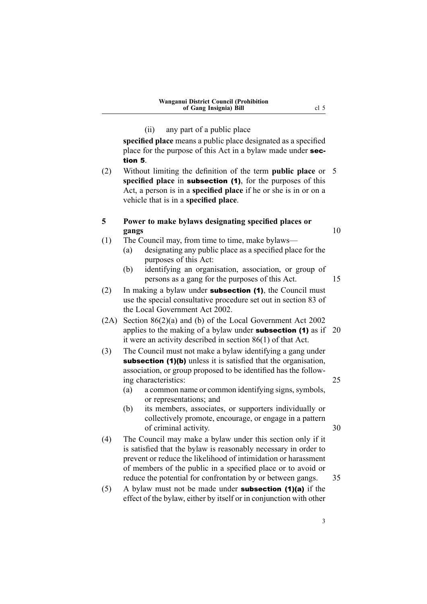(ii) any par<sup>t</sup> of <sup>a</sup> public place

<span id="page-6-0"></span>**specified place** means <sup>a</sup> public place designated as <sup>a</sup> specified place for the purpose of this Act in a bylaw made under **sec**tion 5.

(2) Without limiting the definition of the term **public place** or 5 **specified place** in **subsection (1)**, for the purposes of this Act, <sup>a</sup> person is in <sup>a</sup> **specified place** if he or she is in or on <sup>a</sup> vehicle that is in <sup>a</sup> **specified place**.

#### **5 Power to make bylaws designating specified places or gangs** 10

- (1) The Council may, from time to time, make bylaws—
	- (a) designating any public place as <sup>a</sup> specified place for the purposes of this Act:
	- (b) identifying an organisation, association, or group of persons as <sup>a</sup> gang for the purposes of this Act. 15

(2) In making a bylaw under **subsection (1)**, the Council must use the special consultative procedure set out in section 83 of the Local Government Act 2002.

- (2A) Section 86(2)(a) and (b) of the Local Government Act 2002 applies to the making of a bylaw under **subsection (1)** as if  $20$ it were an activity described in section 86(1) of that Act.
- (3) The Council must not make <sup>a</sup> bylaw identifying <sup>a</sup> gang under subsection (1)(b) unless it is satisfied that the organisation, association, or group proposed to be identified has the following characteristics: 25
	- $(a)$  a common name or common identifying signs, symbols, or representations; and
	- (b) its members, associates, or supporters individually or collectively promote, encourage, or engage in <sup>a</sup> pattern of criminal activity. 30
- (4) The Council may make <sup>a</sup> bylaw under this section only if it is satisfied that the bylaw is reasonably necessary in order to preven<sup>t</sup> or reduce the likelihood of intimidation or harassment of members of the public in <sup>a</sup> specified place or to avoid or reduce the potential for confrontation by or between gangs. 35
- (5) A bylaw must not be made under **subsection (1)(a)** if the effect of the bylaw, either by itself or in conjunction with other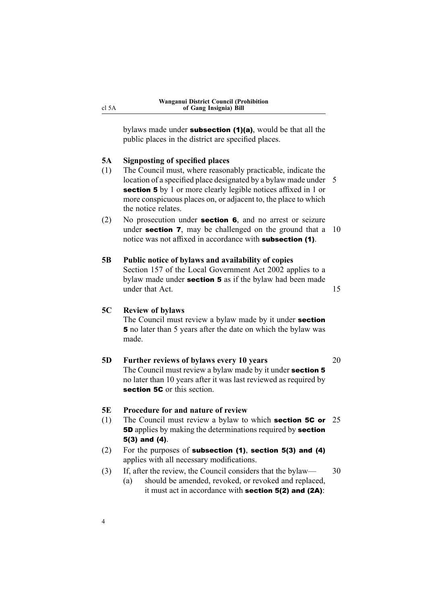<span id="page-7-0"></span>bylaws made under **subsection (1)(a)**, would be that all the public places in the district are specified places.

#### **5A Signposting of specified places**

- (1) The Council must, where reasonably practicable, indicate the location of a specified place designated by a bylaw made under 5 section 5 by 1 or more clearly legible notices affixed in 1 or more conspicuous places on, or adjacent to, the place to which the notice relates.
- (2) No prosecution under section <sup>6</sup>, and no arrest or seizure under **section 7**, may be challenged on the ground that a  $10$ notice was not affixed in accordance with subsection (1).

#### **5B Public notice of bylaws and availability of copies** Section 157 of the Local Government Act 2002 applies to <sup>a</sup> bylaw made under section <sup>5</sup> as if the bylaw had been made under that Act. 15

#### **5C Review of bylaws**

The Council must review a bylaw made by it under **section** <sup>5</sup> no later than 5 years after the date on which the bylaw was made.

**5D Further reviews of bylaws every 10 years** 20 The Council must review a bylaw made by it under **section 5** no later than 10 years after it was last reviewed as required by section 5C or this section.

#### **5E Procedure for and nature of review**

- (1) The Council must review <sup>a</sup> bylaw to which section 5C or 25 **5D** applies by making the determinations required by **section** 5(3) and (4).
- (2) For the purposes of subsection (1), section 5(3) and (4) applies with all necessary modifications.
- (3) If, after the review, the Council considers that the bylaw— 30
	- (a) should be amended, revoked, or revoked and replaced, it must act in accordance with section 5(2) and (2A):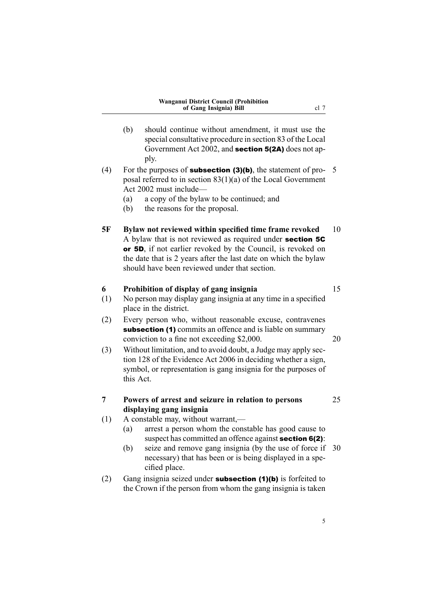- <span id="page-8-0"></span>(b) should continue without amendment, it must use the special consultative procedure in section 83 of the Local Government Act 2002, and section 5(2A) does not apply.
- (4) For the purposes of **subsection (3)(b)**, the statement of pro- 5 posal referred to in section 83(1)(a) of the Local Government Act 2002 must include—
	- (a) <sup>a</sup> copy of the bylaw to be continued; and
	- (b) the reasons for the proposal.
- **5F Bylaw not reviewed within specified time frame revoked** 10 A bylaw that is not reviewed as required under section 5C or 5D, if not earlier revoked by the Council, is revoked on the date that is 2 years after the last date on which the bylaw should have been reviewed under that section.

#### **6 Prohibition of display of gang insignia** 15

- (1) No person may display gang insignia at any time in <sup>a</sup> specified place in the district.
- (2) Every person who, without reasonable excuse, contravenes subsection (1) commits an offence and is liable on summary conviction to <sup>a</sup> fine not exceeding \$2,000. 20
- (3) Without limitation, and to avoid doubt, <sup>a</sup> Judge may apply section 128 of the Evidence Act 2006 in deciding whether <sup>a</sup> sign, symbol, or representation is gang insignia for the purposes of this Act.
- **7 Powers of arrest and seizure in relation to persons** 25 **displaying gang insignia**
	-
- (1) A constable may, without warrant,—
	- (a) arrest <sup>a</sup> person whom the constable has good cause to suspect has committed an offence against **section 6(2)**:
	- (b) seize and remove gang insignia (by the use of force if 30 necessary) that has been or is being displayed in <sup>a</sup> specified place.
- (2) Gang insignia seized under **subsection (1)(b)** is forfeited to the Crown if the person from whom the gang insignia is taken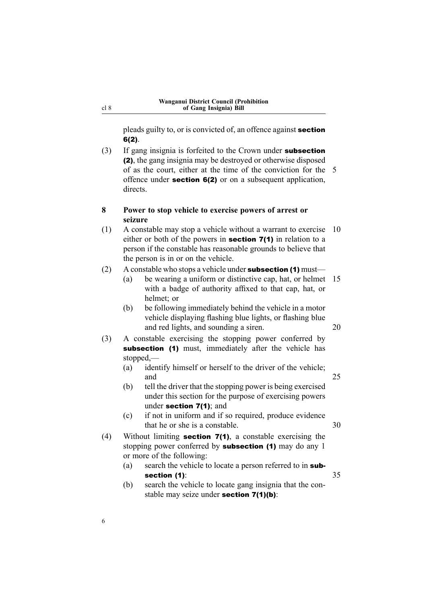<span id="page-9-0"></span>pleads guilty to, or is convicted of, an offence against section 6(2).

(3) If gang insignia is forfeited to the Crown under subsection (2), the gang insignia may be destroyed or otherwise disposed of as the court, either at the time of the conviction for the 5 offence under section 6(2) or on <sup>a</sup> subsequent application, directs.

#### **8 Power to stop vehicle to exercise powers of arrest or seizure**

(1) A constable may stop <sup>a</sup> vehicle without <sup>a</sup> warrant to exercise 10 either or both of the powers in **section 7(1)** in relation to a person if the constable has reasonable grounds to believe that the person is in or on the vehicle.

#### (2) A constable who stops a vehicle under **subsection (1)** must—

- (a) be wearing <sup>a</sup> uniform or distinctive cap, hat, or helmet 15 with <sup>a</sup> badge of authority affixed to that cap, hat, or helmet; or
- (b) be following immediately behind the vehicle in <sup>a</sup> motor vehicle displaying flashing blue lights, or flashing blue and red lights, and sounding a siren. 20
- (3) A constable exercising the stopping power conferred by subsection (1) must, immediately after the vehicle has stopped,—
	- (a) identify himself or herself to the driver of the vehicle; and 25
	- (b) tell the driver that the stopping power is being exercised under this section for the purpose of exercising powers under section 7(1); and
	- (c) if not in uniform and if so required, produce evidence that he or she is a constable. 30
		-
- (4) Without limiting section 7(1), <sup>a</sup> constable exercising the stopping power conferred by **subsection (1)** may do any 1 or more of the following:

### (a) search the vehicle to locate a person referred to in **sub**section (1): 35

(b) search the vehicle to locate gang insignia that the constable may seize under **section 7(1)(b)**: